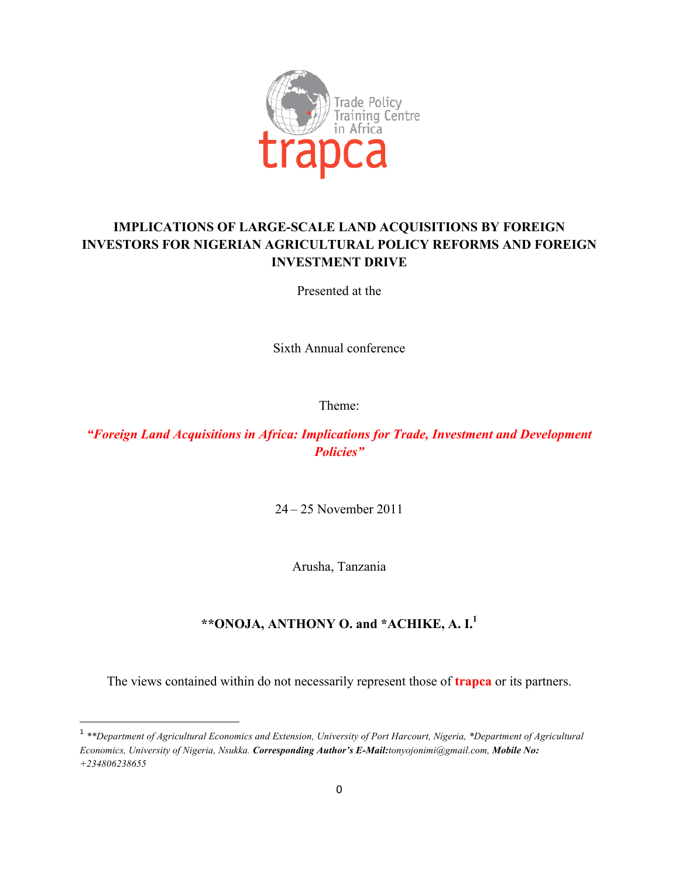

# **IMPLICATIONS OF LARGE-SCALE LAND ACQUISITIONS BY FOREIGN INVESTORS FOR NIGERIAN AGRICULTURAL POLICY REFORMS AND FOREIGN INVESTMENT DRIVE**

Presented at the

Sixth Annual conference

Theme:

*"Foreign Land Acquisitions in Africa: Implications for Trade, Investment and Development Policies"*

24 – 25 November 2011

Arusha, Tanzania

# **\*\*ONOJA, ANTHONY O. and \*ACHIKE, A. I.1**

The views contained within do not necessarily represent those of **trapca** or its partners.

""""""""""""""""""""""""""""""""""""""""""""""""""""""""""""

<sup>1</sup> *\*\*Department of Agricultural Economics and Extension, University of Port Harcourt, Nigeria, \*Department of Agricultural Economics, University of Nigeria, Nsukka. Corresponding Author's E-Mail:tonyojonimi@gmail.com, Mobile No: +234806238655*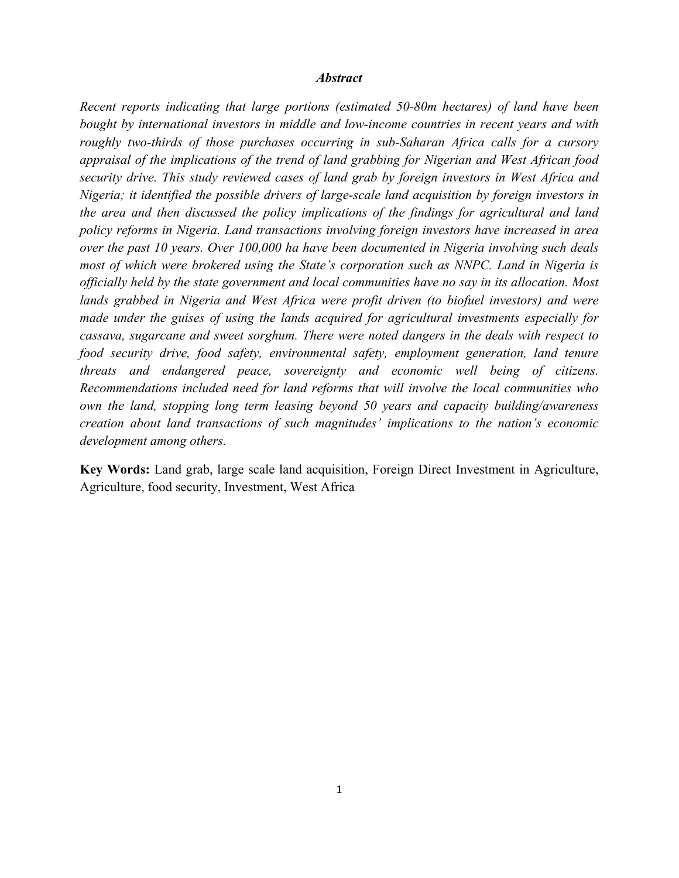#### *Abstract*

*Recent reports indicating that large portions (estimated 50-80m hectares) of land have been bought by international investors in middle and low-income countries in recent years and with roughly two-thirds of those purchases occurring in sub-Saharan Africa calls for a cursory appraisal of the implications of the trend of land grabbing for Nigerian and West African food security drive. This study reviewed cases of land grab by foreign investors in West Africa and Nigeria; it identified the possible drivers of large-scale land acquisition by foreign investors in the area and then discussed the policy implications of the findings for agricultural and land policy reforms in Nigeria. Land transactions involving foreign investors have increased in area over the past 10 years. Over 100,000 ha have been documented in Nigeria involving such deals most of which were brokered using the State's corporation such as NNPC. Land in Nigeria is officially held by the state government and local communities have no say in its allocation. Most lands grabbed in Nigeria and West Africa were profit driven (to biofuel investors) and were made under the guises of using the lands acquired for agricultural investments especially for cassava, sugarcane and sweet sorghum. There were noted dangers in the deals with respect to food security drive, food safety, environmental safety, employment generation, land tenure threats and endangered peace, sovereignty and economic well being of citizens. Recommendations included need for land reforms that will involve the local communities who own the land, stopping long term leasing beyond 50 years and capacity building/awareness creation about land transactions of such magnitudes' implications to the nation's economic development among others.* 

**Key Words:** Land grab, large scale land acquisition, Foreign Direct Investment in Agriculture, Agriculture, food security, Investment, West Africa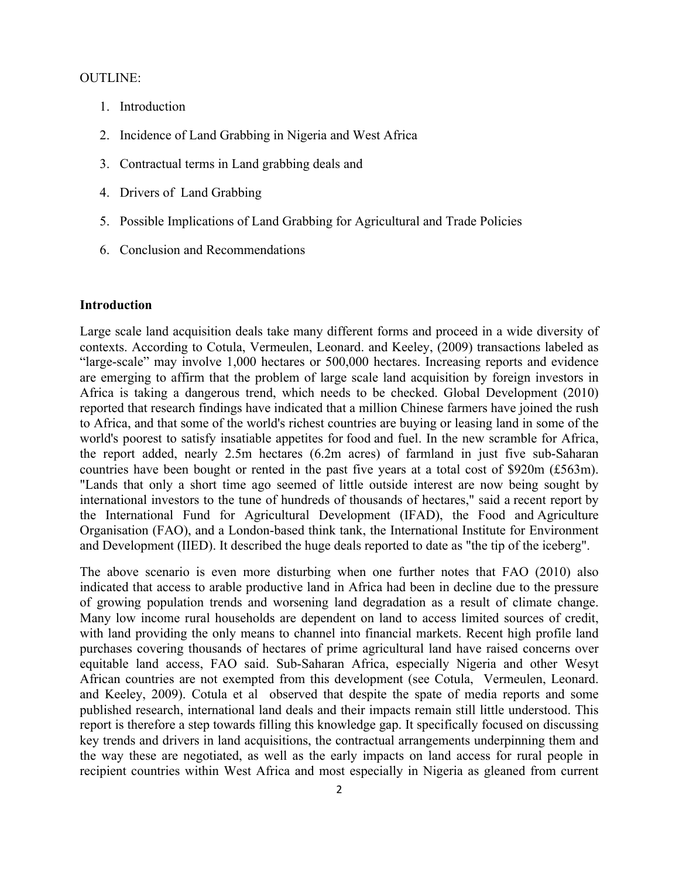### OUTLINE:

- 1. Introduction
- 2. Incidence of Land Grabbing in Nigeria and West Africa
- 3. Contractual terms in Land grabbing deals and
- 4. Drivers of Land Grabbing
- 5. Possible Implications of Land Grabbing for Agricultural and Trade Policies
- 6. Conclusion and Recommendations

### **Introduction**

Large scale land acquisition deals take many different forms and proceed in a wide diversity of contexts. According to Cotula, Vermeulen, Leonard. and Keeley, (2009) transactions labeled as "large-scale" may involve 1,000 hectares or 500,000 hectares. Increasing reports and evidence are emerging to affirm that the problem of large scale land acquisition by foreign investors in Africa is taking a dangerous trend, which needs to be checked. Global Development (2010) reported that research findings have indicated that a million Chinese farmers have joined the rush to Africa, and that some of the world's richest countries are buying or leasing land in some of the world's poorest to satisfy insatiable appetites for food and fuel. In the new scramble for Africa, the report added, nearly 2.5m hectares (6.2m acres) of farmland in just five sub-Saharan countries have been bought or rented in the past five years at a total cost of \$920m (£563m). "Lands that only a short time ago seemed of little outside interest are now being sought by international investors to the tune of hundreds of thousands of hectares," said a recent report by the International Fund for Agricultural Development (IFAD), the Food and Agriculture Organisation (FAO), and a London-based think tank, the International Institute for Environment and Development (IIED). It described the huge deals reported to date as "the tip of the iceberg".

The above scenario is even more disturbing when one further notes that FAO (2010) also indicated that access to arable productive land in Africa had been in decline due to the pressure of growing population trends and worsening land degradation as a result of climate change. Many low income rural households are dependent on land to access limited sources of credit, with land providing the only means to channel into financial markets. Recent high profile land purchases covering thousands of hectares of prime agricultural land have raised concerns over equitable land access, FAO said. Sub-Saharan Africa, especially Nigeria and other Wesyt African countries are not exempted from this development (see Cotula, Vermeulen, Leonard. and Keeley, 2009). Cotula et al observed that despite the spate of media reports and some published research, international land deals and their impacts remain still little understood. This report is therefore a step towards filling this knowledge gap. It specifically focused on discussing key trends and drivers in land acquisitions, the contractual arrangements underpinning them and the way these are negotiated, as well as the early impacts on land access for rural people in recipient countries within West Africa and most especially in Nigeria as gleaned from current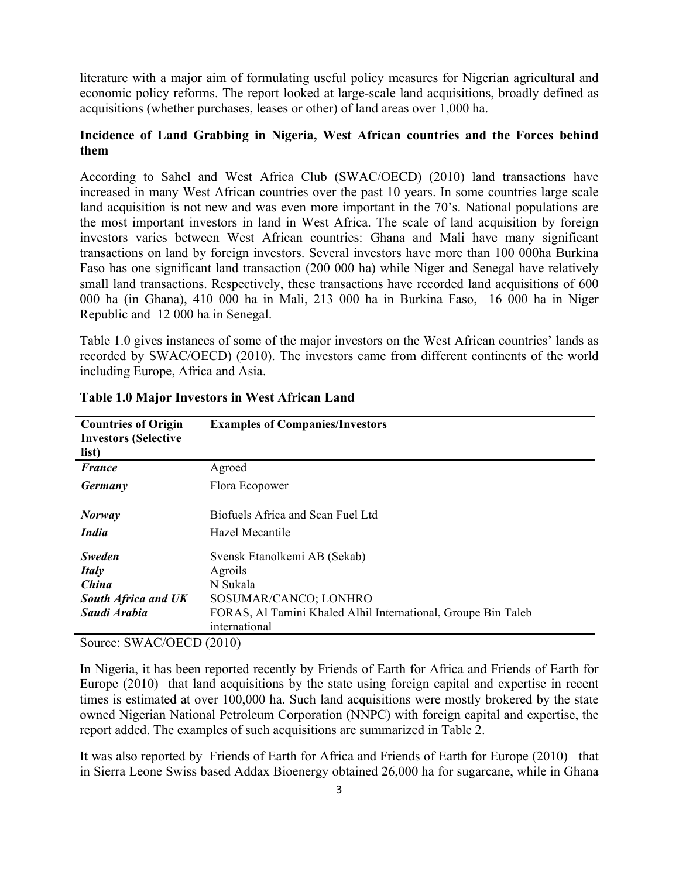literature with a major aim of formulating useful policy measures for Nigerian agricultural and economic policy reforms. The report looked at large-scale land acquisitions, broadly defined as acquisitions (whether purchases, leases or other) of land areas over 1,000 ha.

## **Incidence of Land Grabbing in Nigeria, West African countries and the Forces behind them**

According to Sahel and West Africa Club (SWAC/OECD) (2010) land transactions have increased in many West African countries over the past 10 years. In some countries large scale land acquisition is not new and was even more important in the 70's. National populations are the most important investors in land in West Africa. The scale of land acquisition by foreign investors varies between West African countries: Ghana and Mali have many significant transactions on land by foreign investors. Several investors have more than 100 000ha Burkina Faso has one significant land transaction (200 000 ha) while Niger and Senegal have relatively small land transactions. Respectively, these transactions have recorded land acquisitions of 600 000 ha (in Ghana), 410 000 ha in Mali, 213 000 ha in Burkina Faso, 16 000 ha in Niger Republic and 12 000 ha in Senegal.

Table 1.0 gives instances of some of the major investors on the West African countries' lands as recorded by SWAC/OECD) (2010). The investors came from different continents of the world including Europe, Africa and Asia.

| <b>Countries of Origin</b><br><b>Investors (Selective</b><br>list) | <b>Examples of Companies/Investors</b>                        |  |  |
|--------------------------------------------------------------------|---------------------------------------------------------------|--|--|
| <b>France</b>                                                      | Agroed                                                        |  |  |
| Germany                                                            | Flora Ecopower                                                |  |  |
| <b>Norway</b>                                                      | Biofuels Africa and Scan Fuel Ltd                             |  |  |
| <i>India</i>                                                       | Hazel Mecantile                                               |  |  |
| <b>Sweden</b>                                                      | Svensk Etanolkemi AB (Sekab)                                  |  |  |
| <b>Italy</b>                                                       | Agroils                                                       |  |  |
| China                                                              | N Sukala                                                      |  |  |
| <b>South Africa and UK</b>                                         | SOSUMAR/CANCO; LONHRO                                         |  |  |
| Saudi Arabia                                                       | FORAS, Al Tamini Khaled Alhil International, Groupe Bin Taleb |  |  |
|                                                                    | international                                                 |  |  |

## **Table 1.0 Major Investors in West African Land**

Source: SWAC/OECD (2010)

In Nigeria, it has been reported recently by Friends of Earth for Africa and Friends of Earth for Europe (2010) that land acquisitions by the state using foreign capital and expertise in recent times is estimated at over 100,000 ha. Such land acquisitions were mostly brokered by the state owned Nigerian National Petroleum Corporation (NNPC) with foreign capital and expertise, the report added. The examples of such acquisitions are summarized in Table 2.

It was also reported by Friends of Earth for Africa and Friends of Earth for Europe (2010) that in Sierra Leone Swiss based Addax Bioenergy obtained 26,000 ha for sugarcane, while in Ghana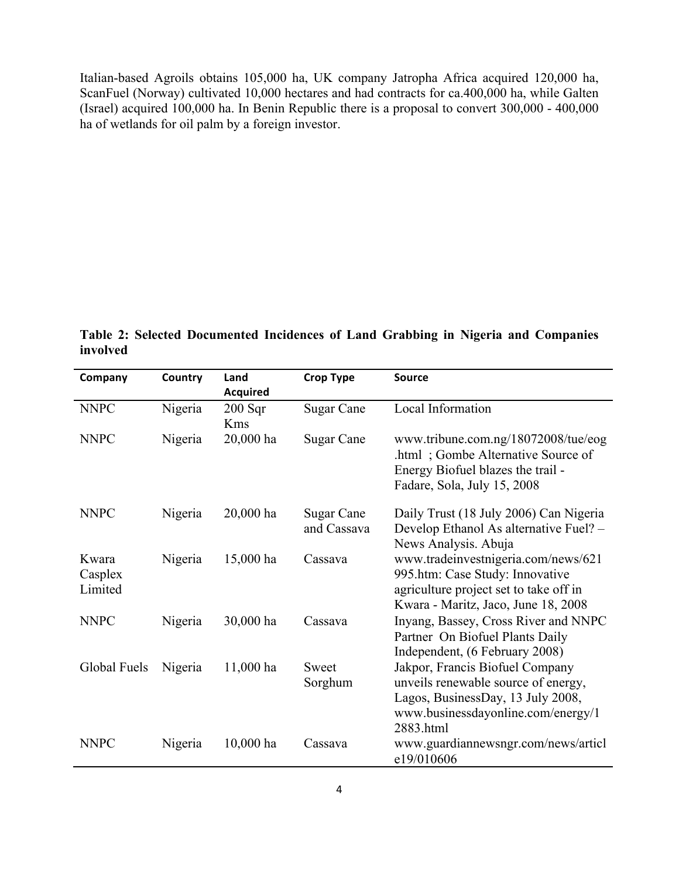Italian-based Agroils obtains 105,000 ha, UK company Jatropha Africa acquired 120,000 ha, ScanFuel (Norway) cultivated 10,000 hectares and had contracts for ca.400,000 ha, while Galten (Israel) acquired 100,000 ha. In Benin Republic there is a proposal to convert 300,000 - 400,000 ha of wetlands for oil palm by a foreign investor.

**Table 2: Selected Documented Incidences of Land Grabbing in Nigeria and Companies involved**

| Company      | Country | Land            | <b>Crop Type</b>  | <b>Source</b>                                                             |
|--------------|---------|-----------------|-------------------|---------------------------------------------------------------------------|
|              |         | <b>Acquired</b> |                   |                                                                           |
| <b>NNPC</b>  | Nigeria | $200$ Sqr       | <b>Sugar Cane</b> | Local Information                                                         |
|              |         | <b>Kms</b>      |                   |                                                                           |
| <b>NNPC</b>  | Nigeria | 20,000 ha       | Sugar Cane        | www.tribune.com.ng/18072008/tue/eog<br>.html; Gombe Alternative Source of |
|              |         |                 |                   | Energy Biofuel blazes the trail -                                         |
|              |         |                 |                   | Fadare, Sola, July 15, 2008                                               |
| <b>NNPC</b>  | Nigeria | 20,000 ha       | Sugar Cane        | Daily Trust (18 July 2006) Can Nigeria                                    |
|              |         |                 | and Cassava       | Develop Ethanol As alternative Fuel? -                                    |
|              |         |                 |                   | News Analysis. Abuja                                                      |
| Kwara        | Nigeria | 15,000 ha       | Cassava           | www.tradeinvestnigeria.com/news/621                                       |
| Casplex      |         |                 |                   | 995.htm: Case Study: Innovative                                           |
| Limited      |         |                 |                   | agriculture project set to take off in                                    |
|              |         |                 |                   | Kwara - Maritz, Jaco, June 18, 2008                                       |
| <b>NNPC</b>  | Nigeria | 30,000 ha       | Cassava           | Inyang, Bassey, Cross River and NNPC                                      |
|              |         |                 |                   | Partner On Biofuel Plants Daily                                           |
|              |         |                 |                   | Independent, (6 February 2008)                                            |
| Global Fuels | Nigeria | 11,000 ha       | Sweet             | Jakpor, Francis Biofuel Company                                           |
|              |         |                 | Sorghum           | unveils renewable source of energy,                                       |
|              |         |                 |                   | Lagos, BusinessDay, 13 July 2008,                                         |
|              |         |                 |                   | www.businessdayonline.com/energy/1<br>2883.html                           |
| <b>NNPC</b>  |         |                 | Cassava           |                                                                           |
|              | Nigeria | $10,000$ ha     |                   | www.guardiannewsngr.com/news/articl<br>e19/010606                         |
|              |         |                 |                   |                                                                           |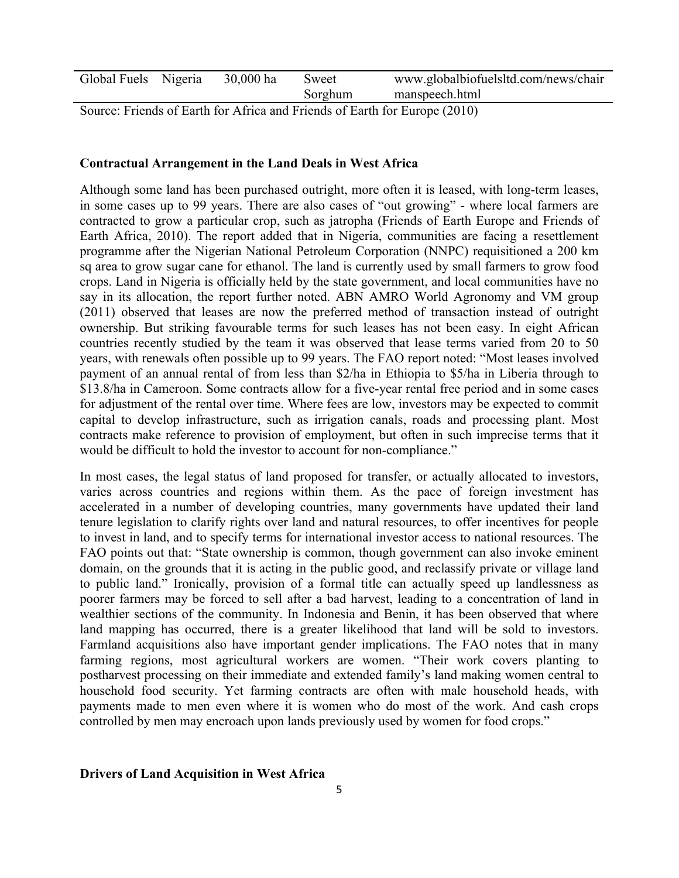| Global Fuels Nigeria | 30,000 ha | Sweet   | www.globalbiofuelsltd.com/news/chair |
|----------------------|-----------|---------|--------------------------------------|
|                      |           | Sorghum | manspeech.html                       |

Source: Friends of Earth for Africa and Friends of Earth for Europe (2010)

### **Contractual Arrangement in the Land Deals in West Africa**

Although some land has been purchased outright, more often it is leased, with long-term leases, in some cases up to 99 years. There are also cases of "out growing" - where local farmers are contracted to grow a particular crop, such as jatropha (Friends of Earth Europe and Friends of Earth Africa, 2010). The report added that in Nigeria, communities are facing a resettlement programme after the Nigerian National Petroleum Corporation (NNPC) requisitioned a 200 km sq area to grow sugar cane for ethanol. The land is currently used by small farmers to grow food crops. Land in Nigeria is officially held by the state government, and local communities have no say in its allocation, the report further noted. ABN AMRO World Agronomy and VM group (2011) observed that leases are now the preferred method of transaction instead of outright ownership. But striking favourable terms for such leases has not been easy. In eight African countries recently studied by the team it was observed that lease terms varied from 20 to 50 years, with renewals often possible up to 99 years. The FAO report noted: "Most leases involved payment of an annual rental of from less than \$2/ha in Ethiopia to \$5/ha in Liberia through to \$13.8/ha in Cameroon. Some contracts allow for a five-year rental free period and in some cases for adjustment of the rental over time. Where fees are low, investors may be expected to commit capital to develop infrastructure, such as irrigation canals, roads and processing plant. Most contracts make reference to provision of employment, but often in such imprecise terms that it would be difficult to hold the investor to account for non-compliance."

In most cases, the legal status of land proposed for transfer, or actually allocated to investors, varies across countries and regions within them. As the pace of foreign investment has accelerated in a number of developing countries, many governments have updated their land tenure legislation to clarify rights over land and natural resources, to offer incentives for people to invest in land, and to specify terms for international investor access to national resources. The FAO points out that: "State ownership is common, though government can also invoke eminent domain, on the grounds that it is acting in the public good, and reclassify private or village land to public land." Ironically, provision of a formal title can actually speed up landlessness as poorer farmers may be forced to sell after a bad harvest, leading to a concentration of land in wealthier sections of the community. In Indonesia and Benin, it has been observed that where land mapping has occurred, there is a greater likelihood that land will be sold to investors. Farmland acquisitions also have important gender implications. The FAO notes that in many farming regions, most agricultural workers are women. "Their work covers planting to postharvest processing on their immediate and extended family's land making women central to household food security. Yet farming contracts are often with male household heads, with payments made to men even where it is women who do most of the work. And cash crops controlled by men may encroach upon lands previously used by women for food crops."

#### **Drivers of Land Acquisition in West Africa**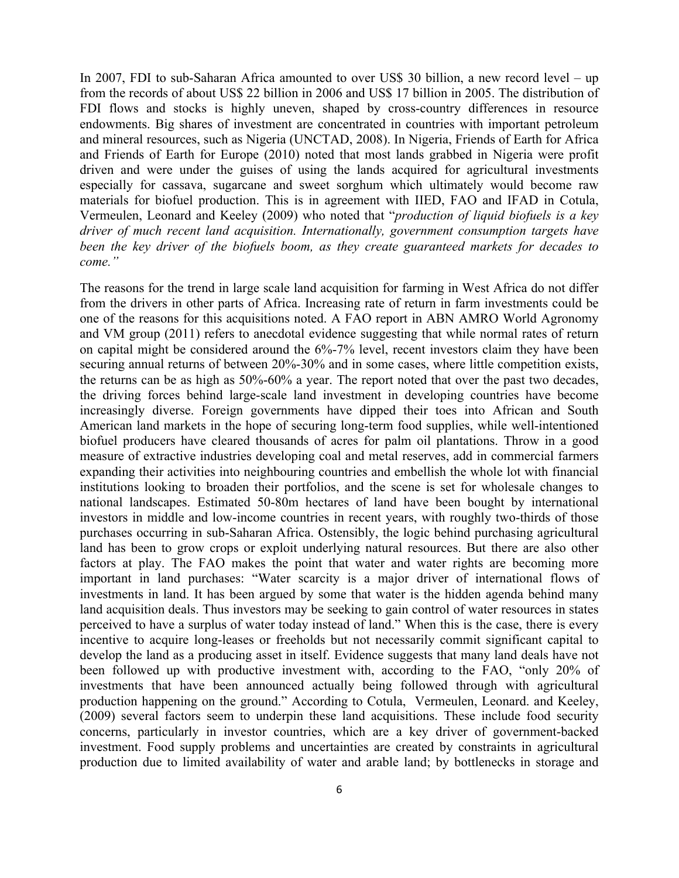In 2007, FDI to sub-Saharan Africa amounted to over US\$ 30 billion, a new record level – up from the records of about US\$ 22 billion in 2006 and US\$ 17 billion in 2005. The distribution of FDI flows and stocks is highly uneven, shaped by cross-country differences in resource endowments. Big shares of investment are concentrated in countries with important petroleum and mineral resources, such as Nigeria (UNCTAD, 2008). In Nigeria, Friends of Earth for Africa and Friends of Earth for Europe (2010) noted that most lands grabbed in Nigeria were profit driven and were under the guises of using the lands acquired for agricultural investments especially for cassava, sugarcane and sweet sorghum which ultimately would become raw materials for biofuel production. This is in agreement with IIED, FAO and IFAD in Cotula, Vermeulen, Leonard and Keeley (2009) who noted that "*production of liquid biofuels is a key driver of much recent land acquisition. Internationally, government consumption targets have been the key driver of the biofuels boom, as they create guaranteed markets for decades to come."*

The reasons for the trend in large scale land acquisition for farming in West Africa do not differ from the drivers in other parts of Africa. Increasing rate of return in farm investments could be one of the reasons for this acquisitions noted. A FAO report in ABN AMRO World Agronomy and VM group (2011) refers to anecdotal evidence suggesting that while normal rates of return on capital might be considered around the 6%-7% level, recent investors claim they have been securing annual returns of between 20%-30% and in some cases, where little competition exists, the returns can be as high as 50%-60% a year. The report noted that over the past two decades, the driving forces behind large-scale land investment in developing countries have become increasingly diverse. Foreign governments have dipped their toes into African and South American land markets in the hope of securing long-term food supplies, while well-intentioned biofuel producers have cleared thousands of acres for palm oil plantations. Throw in a good measure of extractive industries developing coal and metal reserves, add in commercial farmers expanding their activities into neighbouring countries and embellish the whole lot with financial institutions looking to broaden their portfolios, and the scene is set for wholesale changes to national landscapes. Estimated 50-80m hectares of land have been bought by international investors in middle and low-income countries in recent years, with roughly two-thirds of those purchases occurring in sub-Saharan Africa. Ostensibly, the logic behind purchasing agricultural land has been to grow crops or exploit underlying natural resources. But there are also other factors at play. The FAO makes the point that water and water rights are becoming more important in land purchases: "Water scarcity is a major driver of international flows of investments in land. It has been argued by some that water is the hidden agenda behind many land acquisition deals. Thus investors may be seeking to gain control of water resources in states perceived to have a surplus of water today instead of land." When this is the case, there is every incentive to acquire long-leases or freeholds but not necessarily commit significant capital to develop the land as a producing asset in itself. Evidence suggests that many land deals have not been followed up with productive investment with, according to the FAO, "only 20% of investments that have been announced actually being followed through with agricultural production happening on the ground." According to Cotula, Vermeulen, Leonard. and Keeley, (2009) several factors seem to underpin these land acquisitions. These include food security concerns, particularly in investor countries, which are a key driver of government-backed investment. Food supply problems and uncertainties are created by constraints in agricultural production due to limited availability of water and arable land; by bottlenecks in storage and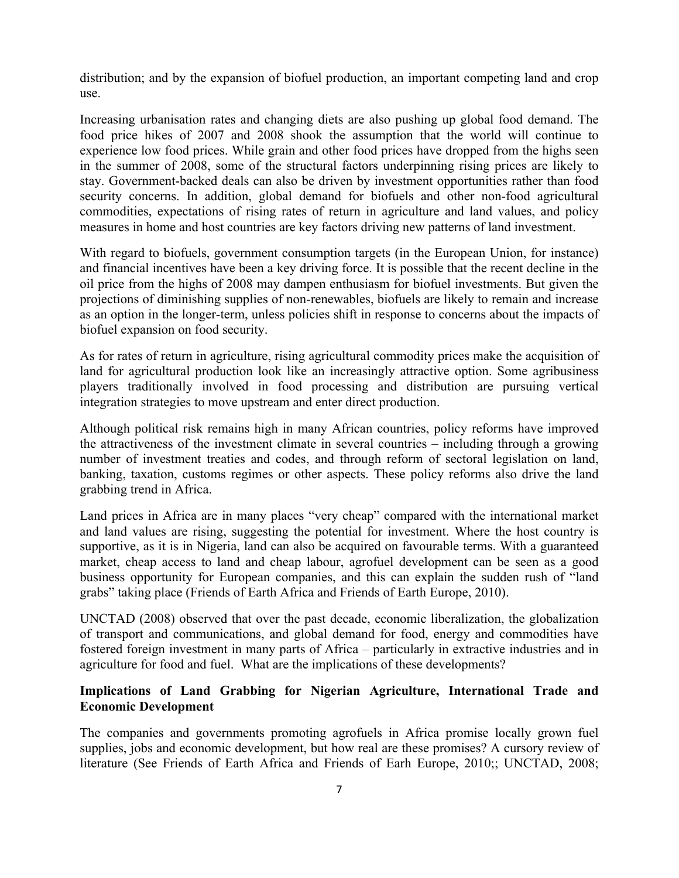distribution; and by the expansion of biofuel production, an important competing land and crop use.

Increasing urbanisation rates and changing diets are also pushing up global food demand. The food price hikes of 2007 and 2008 shook the assumption that the world will continue to experience low food prices. While grain and other food prices have dropped from the highs seen in the summer of 2008, some of the structural factors underpinning rising prices are likely to stay. Government-backed deals can also be driven by investment opportunities rather than food security concerns. In addition, global demand for biofuels and other non-food agricultural commodities, expectations of rising rates of return in agriculture and land values, and policy measures in home and host countries are key factors driving new patterns of land investment.

With regard to biofuels, government consumption targets (in the European Union, for instance) and financial incentives have been a key driving force. It is possible that the recent decline in the oil price from the highs of 2008 may dampen enthusiasm for biofuel investments. But given the projections of diminishing supplies of non-renewables, biofuels are likely to remain and increase as an option in the longer-term, unless policies shift in response to concerns about the impacts of biofuel expansion on food security.

As for rates of return in agriculture, rising agricultural commodity prices make the acquisition of land for agricultural production look like an increasingly attractive option. Some agribusiness players traditionally involved in food processing and distribution are pursuing vertical integration strategies to move upstream and enter direct production.

Although political risk remains high in many African countries, policy reforms have improved the attractiveness of the investment climate in several countries – including through a growing number of investment treaties and codes, and through reform of sectoral legislation on land, banking, taxation, customs regimes or other aspects. These policy reforms also drive the land grabbing trend in Africa.

Land prices in Africa are in many places "very cheap" compared with the international market and land values are rising, suggesting the potential for investment. Where the host country is supportive, as it is in Nigeria, land can also be acquired on favourable terms. With a guaranteed market, cheap access to land and cheap labour, agrofuel development can be seen as a good business opportunity for European companies, and this can explain the sudden rush of "land grabs" taking place (Friends of Earth Africa and Friends of Earth Europe, 2010).

UNCTAD (2008) observed that over the past decade, economic liberalization, the globalization of transport and communications, and global demand for food, energy and commodities have fostered foreign investment in many parts of Africa – particularly in extractive industries and in agriculture for food and fuel. What are the implications of these developments?

# **Implications of Land Grabbing for Nigerian Agriculture, International Trade and Economic Development**

The companies and governments promoting agrofuels in Africa promise locally grown fuel supplies, jobs and economic development, but how real are these promises? A cursory review of literature (See Friends of Earth Africa and Friends of Earh Europe, 2010;; UNCTAD, 2008;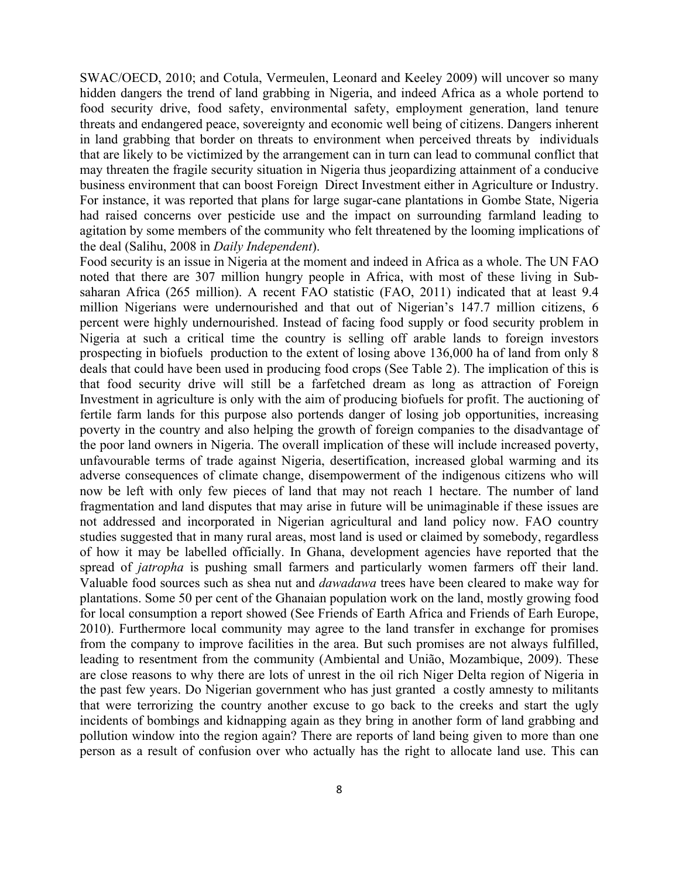SWAC/OECD, 2010; and Cotula, Vermeulen, Leonard and Keeley 2009) will uncover so many hidden dangers the trend of land grabbing in Nigeria, and indeed Africa as a whole portend to food security drive, food safety, environmental safety, employment generation, land tenure threats and endangered peace, sovereignty and economic well being of citizens. Dangers inherent in land grabbing that border on threats to environment when perceived threats by individuals that are likely to be victimized by the arrangement can in turn can lead to communal conflict that may threaten the fragile security situation in Nigeria thus jeopardizing attainment of a conducive business environment that can boost Foreign Direct Investment either in Agriculture or Industry. For instance, it was reported that plans for large sugar-cane plantations in Gombe State, Nigeria had raised concerns over pesticide use and the impact on surrounding farmland leading to agitation by some members of the community who felt threatened by the looming implications of the deal (Salihu, 2008 in *Daily Independent*).

Food security is an issue in Nigeria at the moment and indeed in Africa as a whole. The UN FAO noted that there are 307 million hungry people in Africa, with most of these living in Subsaharan Africa (265 million). A recent FAO statistic (FAO, 2011) indicated that at least 9.4 million Nigerians were undernourished and that out of Nigerian's 147.7 million citizens, 6 percent were highly undernourished. Instead of facing food supply or food security problem in Nigeria at such a critical time the country is selling off arable lands to foreign investors prospecting in biofuels production to the extent of losing above 136,000 ha of land from only 8 deals that could have been used in producing food crops (See Table 2). The implication of this is that food security drive will still be a farfetched dream as long as attraction of Foreign Investment in agriculture is only with the aim of producing biofuels for profit. The auctioning of fertile farm lands for this purpose also portends danger of losing job opportunities, increasing poverty in the country and also helping the growth of foreign companies to the disadvantage of the poor land owners in Nigeria. The overall implication of these will include increased poverty, unfavourable terms of trade against Nigeria, desertification, increased global warming and its adverse consequences of climate change, disempowerment of the indigenous citizens who will now be left with only few pieces of land that may not reach 1 hectare. The number of land fragmentation and land disputes that may arise in future will be unimaginable if these issues are not addressed and incorporated in Nigerian agricultural and land policy now. FAO country studies suggested that in many rural areas, most land is used or claimed by somebody, regardless of how it may be labelled officially. In Ghana, development agencies have reported that the spread of *jatropha* is pushing small farmers and particularly women farmers off their land. Valuable food sources such as shea nut and *dawadawa* trees have been cleared to make way for plantations. Some 50 per cent of the Ghanaian population work on the land, mostly growing food for local consumption a report showed (See Friends of Earth Africa and Friends of Earh Europe, 2010). Furthermore local community may agree to the land transfer in exchange for promises from the company to improve facilities in the area. But such promises are not always fulfilled, leading to resentment from the community (Ambiental and União, Mozambique, 2009). These are close reasons to why there are lots of unrest in the oil rich Niger Delta region of Nigeria in the past few years. Do Nigerian government who has just granted a costly amnesty to militants that were terrorizing the country another excuse to go back to the creeks and start the ugly incidents of bombings and kidnapping again as they bring in another form of land grabbing and pollution window into the region again? There are reports of land being given to more than one person as a result of confusion over who actually has the right to allocate land use. This can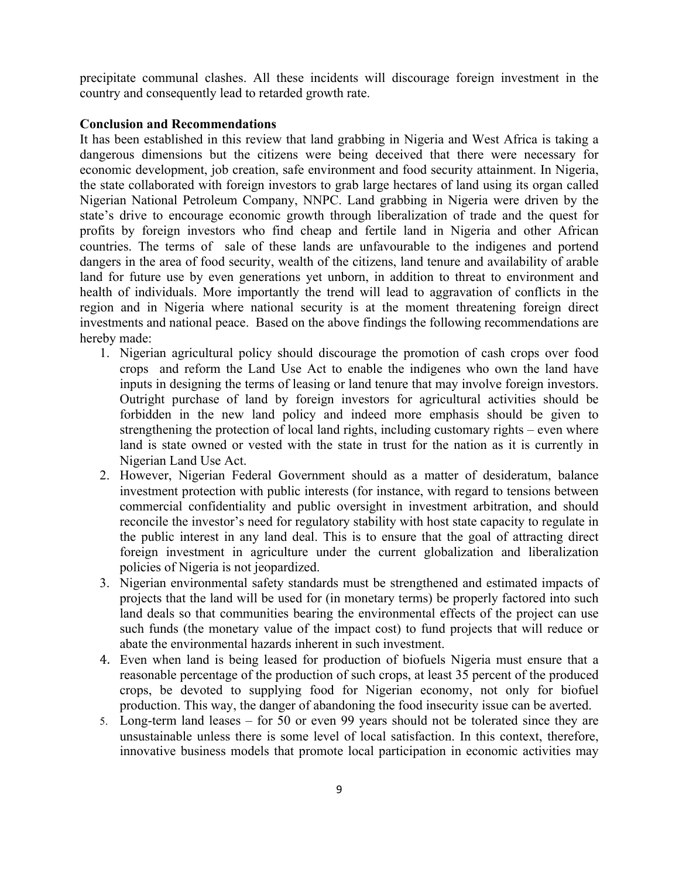precipitate communal clashes. All these incidents will discourage foreign investment in the country and consequently lead to retarded growth rate.

#### **Conclusion and Recommendations**

It has been established in this review that land grabbing in Nigeria and West Africa is taking a dangerous dimensions but the citizens were being deceived that there were necessary for economic development, job creation, safe environment and food security attainment. In Nigeria, the state collaborated with foreign investors to grab large hectares of land using its organ called Nigerian National Petroleum Company, NNPC. Land grabbing in Nigeria were driven by the state's drive to encourage economic growth through liberalization of trade and the quest for profits by foreign investors who find cheap and fertile land in Nigeria and other African countries. The terms of sale of these lands are unfavourable to the indigenes and portend dangers in the area of food security, wealth of the citizens, land tenure and availability of arable land for future use by even generations yet unborn, in addition to threat to environment and health of individuals. More importantly the trend will lead to aggravation of conflicts in the region and in Nigeria where national security is at the moment threatening foreign direct investments and national peace. Based on the above findings the following recommendations are hereby made:

- 1. Nigerian agricultural policy should discourage the promotion of cash crops over food crops and reform the Land Use Act to enable the indigenes who own the land have inputs in designing the terms of leasing or land tenure that may involve foreign investors. Outright purchase of land by foreign investors for agricultural activities should be forbidden in the new land policy and indeed more emphasis should be given to strengthening the protection of local land rights, including customary rights – even where land is state owned or vested with the state in trust for the nation as it is currently in Nigerian Land Use Act.
- 2. However, Nigerian Federal Government should as a matter of desideratum, balance investment protection with public interests (for instance, with regard to tensions between commercial confidentiality and public oversight in investment arbitration, and should reconcile the investor's need for regulatory stability with host state capacity to regulate in the public interest in any land deal. This is to ensure that the goal of attracting direct foreign investment in agriculture under the current globalization and liberalization policies of Nigeria is not jeopardized.
- 3. Nigerian environmental safety standards must be strengthened and estimated impacts of projects that the land will be used for (in monetary terms) be properly factored into such land deals so that communities bearing the environmental effects of the project can use such funds (the monetary value of the impact cost) to fund projects that will reduce or abate the environmental hazards inherent in such investment.
- 4. Even when land is being leased for production of biofuels Nigeria must ensure that a reasonable percentage of the production of such crops, at least 35 percent of the produced crops, be devoted to supplying food for Nigerian economy, not only for biofuel production. This way, the danger of abandoning the food insecurity issue can be averted.
- 5. Long-term land leases for 50 or even 99 years should not be tolerated since they are unsustainable unless there is some level of local satisfaction. In this context, therefore, innovative business models that promote local participation in economic activities may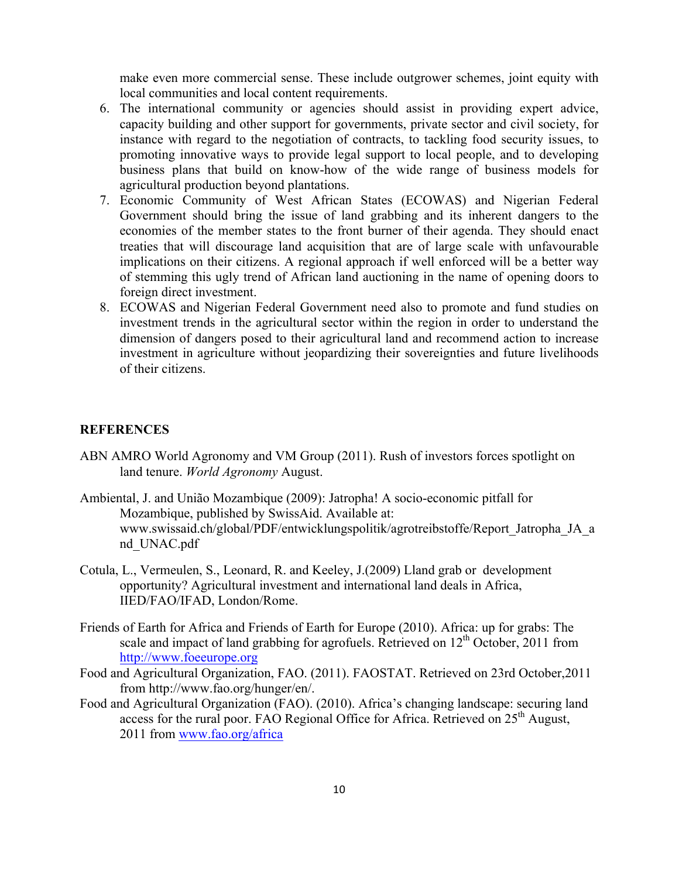make even more commercial sense. These include outgrower schemes, joint equity with local communities and local content requirements.

- 6. The international community or agencies should assist in providing expert advice, capacity building and other support for governments, private sector and civil society, for instance with regard to the negotiation of contracts, to tackling food security issues, to promoting innovative ways to provide legal support to local people, and to developing business plans that build on know-how of the wide range of business models for agricultural production beyond plantations.
- 7. Economic Community of West African States (ECOWAS) and Nigerian Federal Government should bring the issue of land grabbing and its inherent dangers to the economies of the member states to the front burner of their agenda. They should enact treaties that will discourage land acquisition that are of large scale with unfavourable implications on their citizens. A regional approach if well enforced will be a better way of stemming this ugly trend of African land auctioning in the name of opening doors to foreign direct investment.
- 8. ECOWAS and Nigerian Federal Government need also to promote and fund studies on investment trends in the agricultural sector within the region in order to understand the dimension of dangers posed to their agricultural land and recommend action to increase investment in agriculture without jeopardizing their sovereignties and future livelihoods of their citizens.

## **REFERENCES**

- ABN AMRO World Agronomy and VM Group (2011). Rush of investors forces spotlight on land tenure. *World Agronomy* August.
- Ambiental, J. and União Mozambique (2009): Jatropha! A socio-economic pitfall for Mozambique, published by SwissAid. Available at: www.swissaid.ch/global/PDF/entwicklungspolitik/agrotreibstoffe/Report\_Jatropha\_JA\_a nd\_UNAC.pdf
- Cotula, L., Vermeulen, S., Leonard, R. and Keeley, J.(2009) Lland grab or development opportunity? Agricultural investment and international land deals in Africa, IIED/FAO/IFAD, London/Rome.
- Friends of Earth for Africa and Friends of Earth for Europe (2010). Africa: up for grabs: The scale and impact of land grabbing for agrofuels. Retrieved on  $12<sup>th</sup>$  October, 2011 from http://www.foeeurope.org
- Food and Agricultural Organization, FAO. (2011). FAOSTAT. Retrieved on 23rd October,2011 from http://www.fao.org/hunger/en/.
- Food and Agricultural Organization (FAO). (2010). Africa's changing landscape: securing land access for the rural poor. FAO Regional Office for Africa. Retrieved on  $25<sup>th</sup>$  August, 2011 from www.fao.org/africa